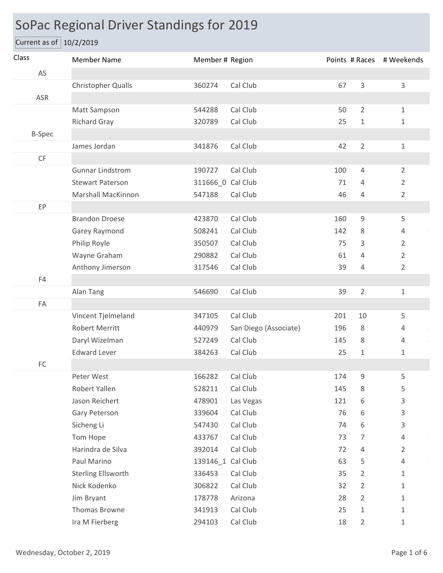## SoPac Regional Driver Standings for 2019

Current as of 10/2/2019

| Class                  | <b>Member Name</b>        | Member # Region   |                       |     |                | Points # Races # Weekends |
|------------------------|---------------------------|-------------------|-----------------------|-----|----------------|---------------------------|
| AS                     |                           |                   |                       |     |                |                           |
|                        | Christopher Qualls        | 360274            | Cal Club              | 67  | $\mathsf{3}$   | $\mathsf{3}$              |
| ASR                    |                           |                   |                       |     |                |                           |
|                        | Matt Sampson              | 544288            | Cal Club              | 50  | $\overline{2}$ | $1\,$                     |
|                        | <b>Richard Gray</b>       | 320789            | Cal Club              | 25  | $1\,$          | $1\,$                     |
| <b>B-Spec</b>          |                           |                   |                       |     |                |                           |
|                        | James Jordan              | 341876            | Cal Club              | 42  | $\overline{2}$ | $\mathbf{1}$              |
| $\mathsf{C}\mathsf{F}$ |                           |                   |                       |     |                |                           |
|                        | <b>Gunnar Lindstrom</b>   | 190727            | Cal Club              | 100 | $\overline{4}$ | $\overline{2}$            |
|                        | <b>Stewart Paterson</b>   | 311666_0 Cal Club |                       | 71  | 4              | $\overline{2}$            |
|                        | <b>Marshall MacKinnon</b> | 547188            | Cal Club              | 46  | 4              | $\overline{2}$            |
| EP                     |                           |                   |                       |     |                |                           |
|                        | <b>Brandon Droese</b>     | 423870            | Cal Club              | 160 | 9              | 5                         |
|                        | Garey Raymond             | 508241            | Cal Club              | 142 | 8              | $\overline{4}$            |
|                        | Philip Royle              | 350507            | Cal Club              | 75  | 3              | $\overline{2}$            |
|                        | Wayne Graham              | 290882            | Cal Club              | 61  | 4              | $\overline{2}$            |
|                        | Anthony Jimerson          | 317546            | Cal Club              | 39  | $\overline{4}$ | $\overline{2}$            |
| F4                     |                           |                   |                       |     |                |                           |
|                        | Alan Tang                 | 546690            | Cal Club              | 39  | $\overline{2}$ | $\mathbf{1}$              |
| FA                     |                           |                   |                       |     |                |                           |
|                        | Vincent Tjelmeland        | 347105            | Cal Club              | 201 | 10             | 5                         |
|                        | <b>Robert Merritt</b>     | 440979            | San Diego (Associate) | 196 | 8              | 4                         |
|                        | Daryl Wizelman            | 527249            | Cal Club              | 145 | 8              | 4                         |
|                        | <b>Edward Lever</b>       | 384263            | Cal Club              | 25  | $\mathbf{1}$   | 1                         |
| $\mathsf{FC}$          |                           |                   |                       |     |                |                           |
|                        | Peter West                | 166282            | Cal Club              | 174 | 9              | 5                         |
|                        | Robert Yallen             | 528211            | Cal Club              | 145 | 8              | 5                         |
|                        | Jason Reichert            | 478901            | Las Vegas             | 121 | 6              | 3                         |
|                        | Gary Peterson             | 339604            | Cal Club              | 76  | 6              | 3                         |
|                        | Sicheng Li                | 547430            | Cal Club              | 74  | 6              | 3                         |
|                        | Tom Hope                  | 433767            | Cal Club              | 73  | 7              | $\overline{4}$            |
|                        | Harindra de Silva         | 392014            | Cal Club              | 72  | 4              | $\overline{2}$            |
|                        | Paul Marino               | 139146_1 Cal Club |                       | 63  | 5              | $\overline{4}$            |
|                        | <b>Sterling Ellsworth</b> | 336453            | Cal Club              | 35  | $\overline{2}$ | 1                         |
|                        | Nick Kodenko              | 306822            | Cal Club              | 32  | $\overline{2}$ | 1                         |
|                        | Jim Bryant                | 178778            | Arizona               | 28  | $\overline{2}$ | 1                         |
|                        | Thomas Browne             | 341913            | Cal Club              | 25  | $\mathbf{1}$   | 1                         |
|                        | Ira M Fierberg            | 294103            | Cal Club              | 18  | $\overline{2}$ | 1                         |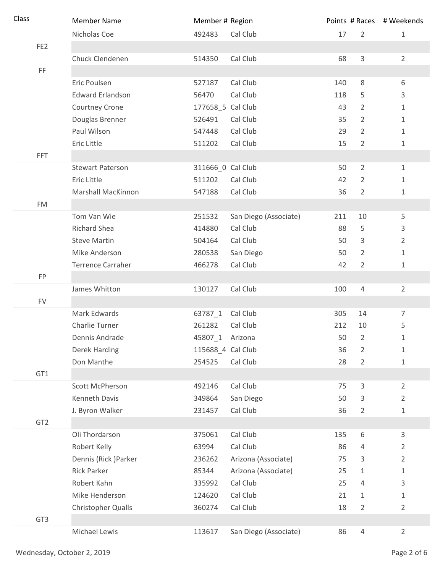| Class           | <b>Member Name</b>       | Member # Region   |                       |     |                | Points # Races # Weekends |
|-----------------|--------------------------|-------------------|-----------------------|-----|----------------|---------------------------|
|                 | Nicholas Coe             | 492483            | Cal Club              | 17  | $\overline{2}$ | $\mathbf{1}$              |
| FE <sub>2</sub> |                          |                   |                       |     |                |                           |
|                 | Chuck Clendenen          | 514350            | Cal Club              | 68  | $\mathsf{3}$   | $\overline{2}$            |
| FF.             |                          |                   |                       |     |                |                           |
|                 | Eric Poulsen             | 527187            | Cal Club              | 140 | 8              | 6                         |
|                 | <b>Edward Erlandson</b>  | 56470             | Cal Club              | 118 | 5              | 3                         |
|                 | Courtney Crone           | 177658_5 Cal Club |                       | 43  | $\overline{2}$ | $\mathbf{1}$              |
|                 | Douglas Brenner          | 526491            | Cal Club              | 35  | 2              | $\mathbf{1}$              |
|                 | Paul Wilson              | 547448            | Cal Club              | 29  | $\overline{2}$ | $\mathbf{1}$              |
|                 | Eric Little              | 511202            | Cal Club              | 15  | $\overline{2}$ | $\mathbf{1}$              |
| <b>FFT</b>      |                          |                   |                       |     |                |                           |
|                 | <b>Stewart Paterson</b>  | 311666_0 Cal Club |                       | 50  | $\overline{2}$ | $\mathbf{1}$              |
|                 | Eric Little              | 511202            | Cal Club              | 42  | $\overline{2}$ | $\mathbf{1}$              |
|                 | Marshall MacKinnon       | 547188            | Cal Club              | 36  | $\overline{2}$ | $\mathbf{1}$              |
| <b>FM</b>       |                          |                   |                       |     |                |                           |
|                 | Tom Van Wie              | 251532            | San Diego (Associate) | 211 | 10             | 5                         |
|                 | <b>Richard Shea</b>      | 414880            | Cal Club              | 88  | 5              | 3                         |
|                 | <b>Steve Martin</b>      | 504164            | Cal Club              | 50  | 3              | $\overline{2}$            |
|                 | Mike Anderson            | 280538            | San Diego             | 50  | $\overline{2}$ | $\mathbf{1}$              |
|                 | <b>Terrence Carraher</b> | 466278            | Cal Club              | 42  | $\overline{2}$ | 1                         |
| FP              |                          |                   |                       |     |                |                           |
|                 | James Whitton            | 130127            | Cal Club              | 100 | $\overline{4}$ | $\overline{2}$            |
| <b>FV</b>       |                          |                   |                       |     |                |                           |
|                 | Mark Edwards             | 63787_1           | Cal Club              | 305 | 14             | $\overline{7}$            |
|                 | Charlie Turner           | 261282            | Cal Club              | 212 | 10             | 5                         |
|                 | Dennis Andrade           | 45807_1           | Arizona               | 50  | 2              | 1                         |
|                 | Derek Harding            | 115688_4 Cal Club |                       | 36  | $\overline{2}$ | $\mathbf{1}$              |
|                 | Don Manthe               | 254525            | Cal Club              | 28  | $\overline{2}$ | $\mathbf{1}$              |
| GT1             |                          |                   |                       |     |                |                           |
|                 | Scott McPherson          | 492146            | Cal Club              | 75  | 3              | $\overline{2}$            |
|                 | Kenneth Davis            | 349864            | San Diego             | 50  | 3              | $\overline{2}$            |
|                 | J. Byron Walker          | 231457            | Cal Club              | 36  | $\overline{2}$ | 1                         |
| GT <sub>2</sub> |                          |                   |                       |     |                |                           |
|                 | Oli Thordarson           | 375061            | Cal Club              | 135 | 6              | $\mathbf{3}$              |
|                 | Robert Kelly             | 63994             | Cal Club              | 86  | 4              | $\overline{2}$            |
|                 | Dennis (Rick) Parker     | 236262            | Arizona (Associate)   | 75  | 3              | $\overline{2}$            |
|                 | <b>Rick Parker</b>       | 85344             | Arizona (Associate)   | 25  | $\mathbf{1}$   | $\mathbf{1}$              |
|                 | Robert Kahn              | 335992            | Cal Club              | 25  | $\overline{4}$ | 3                         |
|                 | Mike Henderson           | 124620            | Cal Club              | 21  | $\mathbf{1}$   | $\mathbf{1}$              |
|                 | Christopher Qualls       | 360274            | Cal Club              | 18  | $\overline{2}$ | $\overline{2}$            |
| GT3             |                          |                   |                       |     |                |                           |
|                 | Michael Lewis            | 113617            | San Diego (Associate) | 86  | 4              | $\overline{2}$            |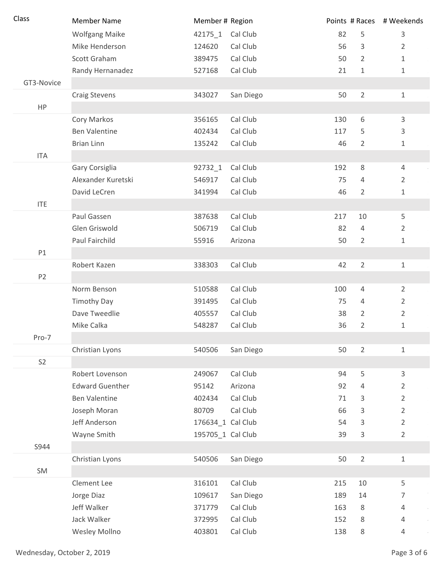| Class          | <b>Member Name</b>     | Member # Region   |           |     |                | Points # Races # Weekends |
|----------------|------------------------|-------------------|-----------|-----|----------------|---------------------------|
|                | <b>Wolfgang Maike</b>  | 42175 1           | Cal Club  | 82  | 5              | 3                         |
|                | Mike Henderson         | 124620            | Cal Club  | 56  | 3              | 2                         |
|                | Scott Graham           | 389475            | Cal Club  | 50  | $\overline{2}$ | $\mathbf{1}$              |
|                | Randy Hernanadez       | 527168            | Cal Club  | 21  | $\mathbf 1$    | 1                         |
| GT3-Novice     |                        |                   |           |     |                |                           |
|                | <b>Craig Stevens</b>   | 343027            | San Diego | 50  | $\overline{2}$ | 1                         |
| HP             |                        |                   |           |     |                |                           |
|                | Cory Markos            | 356165            | Cal Club  | 130 | 6              | $\mathsf{3}$              |
|                | <b>Ben Valentine</b>   | 402434            | Cal Club  | 117 | 5              | 3                         |
|                | <b>Brian Linn</b>      | 135242            | Cal Club  | 46  | 2              | 1                         |
| <b>ITA</b>     |                        |                   |           |     |                |                           |
|                | Gary Corsiglia         | 92732_1           | Cal Club  | 192 | 8              | 4                         |
|                | Alexander Kuretski     | 546917            | Cal Club  | 75  | $\overline{4}$ | $\overline{2}$            |
|                | David LeCren           | 341994            | Cal Club  | 46  | $\overline{2}$ | 1                         |
| <b>ITE</b>     |                        |                   |           |     |                |                           |
|                | Paul Gassen            | 387638            | Cal Club  | 217 | 10             | 5                         |
|                | Glen Griswold          | 506719            | Cal Club  | 82  | $\overline{4}$ | $\overline{2}$            |
|                | Paul Fairchild         | 55916             | Arizona   | 50  | $\overline{2}$ | $\mathbf{1}$              |
| P1             |                        |                   |           |     |                |                           |
|                | Robert Kazen           | 338303            | Cal Club  | 42  | $\overline{2}$ | $\mathbf{1}$              |
| P <sub>2</sub> |                        |                   |           |     |                |                           |
|                | Norm Benson            | 510588            | Cal Club  | 100 | 4              | $\overline{2}$            |
|                | <b>Timothy Day</b>     | 391495            | Cal Club  | 75  | $\overline{4}$ | $\overline{2}$            |
|                | Dave Tweedlie          | 405557            | Cal Club  | 38  | $\overline{2}$ | $\overline{2}$            |
|                | Mike Calka             | 548287            | Cal Club  | 36  | $\overline{2}$ | 1                         |
| Pro-7          |                        |                   |           |     |                |                           |
|                | Christian Lyons        | 540506            | San Diego | 50  | $\overline{2}$ | $\mathbf 1$               |
| S <sub>2</sub> |                        |                   |           |     |                |                           |
|                | Robert Lovenson        | 249067            | Cal Club  | 94  | 5              | 3                         |
|                | <b>Edward Guenther</b> | 95142             | Arizona   | 92  | 4              | $\overline{2}$            |
|                | <b>Ben Valentine</b>   | 402434            | Cal Club  | 71  | 3              | $\overline{2}$            |
|                | Joseph Moran           | 80709             | Cal Club  | 66  | 3              | $\overline{2}$            |
|                | Jeff Anderson          | 176634_1 Cal Club |           | 54  | 3              | $\overline{2}$            |
|                | Wayne Smith            | 195705_1 Cal Club |           | 39  | 3              | $\overline{2}$            |
| S944           |                        |                   |           |     |                |                           |
|                | Christian Lyons        | 540506            | San Diego | 50  | $\overline{2}$ | 1                         |
| SM             |                        |                   |           |     |                |                           |
|                | Clement Lee            | 316101            | Cal Club  | 215 | 10             | 5                         |
|                | Jorge Diaz             | 109617            | San Diego | 189 | 14             | 7                         |
|                | Jeff Walker            | 371779            | Cal Club  | 163 | 8              | 4                         |
|                | Jack Walker            | 372995            | Cal Club  | 152 | 8              | 4                         |
|                | Wesley Mollno          | 403801            | Cal Club  | 138 | 8              | 4                         |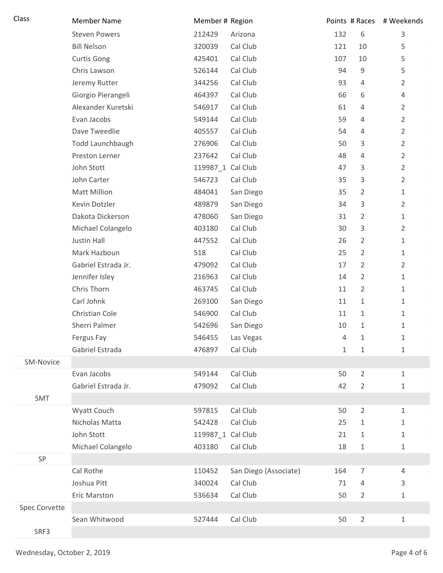| Class         | <b>Member Name</b>   | Member # Region   |                       |              |                | Points # Races # Weekends |
|---------------|----------------------|-------------------|-----------------------|--------------|----------------|---------------------------|
|               | <b>Steven Powers</b> | 212429            | Arizona               | 132          | 6              | $\mathsf 3$               |
|               | <b>Bill Nelson</b>   | 320039            | Cal Club              | 121          | 10             | 5                         |
|               | <b>Curtis Gong</b>   | 425401            | Cal Club              | 107          | 10             | 5                         |
|               | Chris Lawson         | 526144            | Cal Club              | 94           | 9              | 5                         |
|               | Jeremy Rutter        | 344256            | Cal Club              | 93           | 4              | $\overline{2}$            |
|               | Giorgio Pierangeli   | 464397            | Cal Club              | 66           | 6              | $\overline{4}$            |
|               | Alexander Kuretski   | 546917            | Cal Club              | 61           | 4              | $\overline{2}$            |
|               | Evan Jacobs          | 549144            | Cal Club              | 59           | 4              | $\overline{2}$            |
|               | Dave Tweedlie        | 405557            | Cal Club              | 54           | $\overline{4}$ | $\overline{2}$            |
|               | Todd Launchbaugh     | 276906            | Cal Club              | 50           | 3              | $\overline{2}$            |
|               | Preston Lerner       | 237642            | Cal Club              | 48           | $\overline{4}$ | $\overline{2}$            |
|               | John Stott           | 119987_1 Cal Club |                       | 47           | 3              | $\overline{2}$            |
|               | John Carter          | 546723            | Cal Club              | 35           | 3              | $\overline{2}$            |
|               | <b>Matt Million</b>  | 484041            | San Diego             | 35           | $\overline{2}$ | $\mathbf{1}$              |
|               | Kevin Dotzler        | 489879            | San Diego             | 34           | 3              | $\overline{2}$            |
|               | Dakota Dickerson     | 478060            | San Diego             | 31           | $\overline{2}$ | $\mathbf{1}$              |
|               | Michael Colangelo    | 403180            | Cal Club              | 30           | 3              | $\overline{2}$            |
|               | Justin Hall          | 447552            | Cal Club              | 26           | $\overline{2}$ | $\mathbf{1}$              |
|               | Mark Hazboun         | 518               | Cal Club              | 25           | $\overline{2}$ | $\mathbf{1}$              |
|               | Gabriel Estrada Jr.  | 479092            | Cal Club              | 17           | $\overline{2}$ | $\overline{2}$            |
|               | Jennifer Isley       | 216963            | Cal Club              | 14           | $\overline{2}$ | $\mathbf{1}$              |
|               | Chris Thorn          | 463745            | Cal Club              | 11           | $\overline{2}$ | $\mathbf{1}$              |
|               | Carl Johnk           | 269100            | San Diego             | 11           | $\mathbf{1}$   | 1                         |
|               | Christian Cole       | 546900            | Cal Club              | 11           | $\mathbf{1}$   | $\mathbf{1}$              |
|               | Sherri Palmer        | 542696            | San Diego             | 10           | $\mathbf{1}$   | 1                         |
|               | Fergus Fay           | 546455            | Las Vegas             | 4            | 1              | 1                         |
|               | Gabriel Estrada      | 476897            | Cal Club              | $\mathbf{1}$ | $\mathbf{1}$   | 1                         |
| SM-Novice     |                      |                   |                       |              |                |                           |
|               | Evan Jacobs          | 549144            | Cal Club              | 50           | $\overline{2}$ | $\mathbf{1}$              |
|               | Gabriel Estrada Jr.  | 479092            | Cal Club              | 42           | $\overline{2}$ | 1                         |
| SMT           |                      |                   |                       |              |                |                           |
|               | Wyatt Couch          | 597815            | Cal Club              | 50           | $\overline{2}$ | 1                         |
|               | Nicholas Matta       | 542428            | Cal Club              | 25           | $\mathbf{1}$   | 1                         |
|               | John Stott           | 119987_1 Cal Club |                       | 21           | $\mathbf{1}$   | 1                         |
|               | Michael Colangelo    | 403180            | Cal Club              | 18           | $\mathbf{1}$   | 1                         |
| SP            |                      |                   |                       |              |                |                           |
|               | Cal Rothe            | 110452            | San Diego (Associate) | 164          | 7              | 4                         |
|               | Joshua Pitt          | 340024            | Cal Club              | 71           | $\overline{4}$ | 3                         |
|               | Eric Marston         | 536634            | Cal Club              | 50           | $\overline{2}$ | 1                         |
| Spec Corvette |                      |                   |                       |              |                |                           |
|               | Sean Whitwood        | 527444            | Cal Club              | 50           | $\overline{2}$ | 1                         |
| SRF3          |                      |                   |                       |              |                |                           |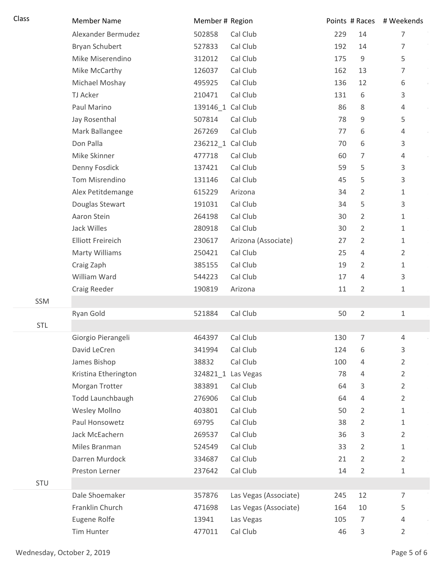| Class      | <b>Member Name</b>       | Member # Region    |                       |     |                | Points # Races # Weekends |
|------------|--------------------------|--------------------|-----------------------|-----|----------------|---------------------------|
|            | Alexander Bermudez       | 502858             | Cal Club              | 229 | 14             | 7                         |
|            | Bryan Schubert           | 527833             | Cal Club              | 192 | 14             | 7                         |
|            | Mike Miserendino         | 312012             | Cal Club              | 175 | $\mathsf 9$    | 5                         |
|            | Mike McCarthy            | 126037             | Cal Club              | 162 | 13             | 7                         |
|            | Michael Moshay           | 495925             | Cal Club              | 136 | 12             | 6                         |
|            | <b>TJ Acker</b>          | 210471             | Cal Club              | 131 | 6              | 3                         |
|            | Paul Marino              | 139146_1 Cal Club  |                       | 86  | 8              | 4                         |
|            | Jay Rosenthal            | 507814             | Cal Club              | 78  | 9              | 5                         |
|            | Mark Ballangee           | 267269             | Cal Club              | 77  | 6              | 4                         |
|            | Don Palla                | 236212_1 Cal Club  |                       | 70  | 6              | 3                         |
|            | Mike Skinner             | 477718             | Cal Club              | 60  | 7              | 4                         |
|            | Denny Fosdick            | 137421             | Cal Club              | 59  | 5              | 3                         |
|            | Tom Misrendino           | 131146             | Cal Club              | 45  | 5              | 3                         |
|            | Alex Petitdemange        | 615229             | Arizona               | 34  | 2              | 1                         |
|            | Douglas Stewart          | 191031             | Cal Club              | 34  | 5              | 3                         |
|            | Aaron Stein              | 264198             | Cal Club              | 30  | 2              | 1                         |
|            | Jack Willes              | 280918             | Cal Club              | 30  | 2              | 1                         |
|            | <b>Elliott Freireich</b> | 230617             | Arizona (Associate)   | 27  | $\overline{2}$ | $\mathbf 1$               |
|            | <b>Marty Williams</b>    | 250421             | Cal Club              | 25  | $\overline{4}$ | $\overline{2}$            |
|            | Craig Zaph               | 385155             | Cal Club              | 19  | 2              | 1                         |
|            | William Ward             | 544223             | Cal Club              | 17  | 4              | 3                         |
|            | Craig Reeder             | 190819             | Arizona               | 11  | 2              | 1                         |
| SSM        |                          |                    |                       |     |                |                           |
|            | Ryan Gold                | 521884             | Cal Club              | 50  | $\overline{2}$ | $\mathbf{1}$              |
| <b>STL</b> |                          |                    |                       |     |                |                           |
|            | Giorgio Pierangeli       | 464397             | Cal Club              | 130 | 7              | 4                         |
|            | David LeCren             | 341994             | Cal Club              | 124 | 6              | 3                         |
|            | James Bishop             | 38832              | Cal Club              | 100 | 4              | 2                         |
|            | Kristina Etherington     | 324821 1 Las Vegas |                       | 78  | $\overline{4}$ | 2                         |
|            | Morgan Trotter           | 383891             | Cal Club              | 64  | 3              | 2                         |
|            | Todd Launchbaugh         | 276906             | Cal Club              | 64  | $\overline{4}$ | 2                         |
|            | Wesley Mollno            | 403801             | Cal Club              | 50  | 2              | 1                         |
|            | Paul Honsowetz           | 69795              | Cal Club              | 38  | $\overline{2}$ | 1                         |
|            | Jack McEachern           | 269537             | Cal Club              | 36  | 3              | 2                         |
|            | Miles Branman            | 524549             | Cal Club              | 33  | 2              | 1                         |
|            | Darren Murdock           | 334687             | Cal Club              | 21  | 2              | 2                         |
|            | Preston Lerner           | 237642             | Cal Club              | 14  | $\overline{2}$ | 1                         |
| STU        |                          |                    |                       |     |                |                           |
|            | Dale Shoemaker           | 357876             | Las Vegas (Associate) | 245 | 12             | 7                         |
|            | Franklin Church          | 471698             | Las Vegas (Associate) | 164 | 10             | 5                         |
|            | Eugene Rolfe             | 13941              | Las Vegas             | 105 | 7              | 4                         |
|            | Tim Hunter               | 477011             | Cal Club              | 46  | 3              | 2                         |